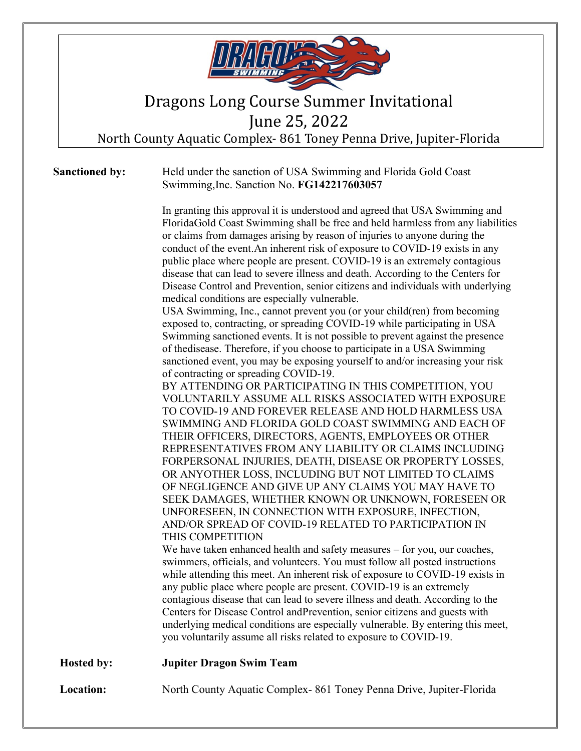

## Dragons Long Course Summer Invitational

June 25, 2022

North County Aquatic Complex- 861 Toney Penna Drive, Jupiter-Florida

#### **Sanctioned by:** Held under the sanction of USA Swimming and Florida Gold Coast Swimming,Inc. Sanction No. **FG142217603057**

In granting this approval it is understood and agreed that USA Swimming and FloridaGold Coast Swimming shall be free and held harmless from any liabilities or claims from damages arising by reason of injuries to anyone during the conduct of the event.An inherent risk of exposure to COVID-19 exists in any public place where people are present. COVID-19 is an extremely contagious disease that can lead to severe illness and death. According to the Centers for Disease Control and Prevention, senior citizens and individuals with underlying medical conditions are especially vulnerable.

USA Swimming, Inc., cannot prevent you (or your child(ren) from becoming exposed to, contracting, or spreading COVID-19 while participating in USA Swimming sanctioned events. It is not possible to prevent against the presence of thedisease. Therefore, if you choose to participate in a USA Swimming sanctioned event, you may be exposing yourself to and/or increasing your risk of contracting or spreading COVID-19.

BY ATTENDING OR PARTICIPATING IN THIS COMPETITION, YOU VOLUNTARILY ASSUME ALL RISKS ASSOCIATED WITH EXPOSURE TO COVID-19 AND FOREVER RELEASE AND HOLD HARMLESS USA SWIMMING AND FLORIDA GOLD COAST SWIMMING AND EACH OF THEIR OFFICERS, DIRECTORS, AGENTS, EMPLOYEES OR OTHER REPRESENTATIVES FROM ANY LIABILITY OR CLAIMS INCLUDING FORPERSONAL INJURIES, DEATH, DISEASE OR PROPERTY LOSSES, OR ANYOTHER LOSS, INCLUDING BUT NOT LIMITED TO CLAIMS OF NEGLIGENCE AND GIVE UP ANY CLAIMS YOU MAY HAVE TO SEEK DAMAGES, WHETHER KNOWN OR UNKNOWN, FORESEEN OR UNFORESEEN, IN CONNECTION WITH EXPOSURE, INFECTION, AND/OR SPREAD OF COVID-19 RELATED TO PARTICIPATION IN THIS COMPETITION

We have taken enhanced health and safety measures – for you, our coaches, swimmers, officials, and volunteers. You must follow all posted instructions while attending this meet. An inherent risk of exposure to COVID-19 exists in any public place where people are present. COVID-19 is an extremely contagious disease that can lead to severe illness and death. According to the Centers for Disease Control andPrevention, senior citizens and guests with underlying medical conditions are especially vulnerable. By entering this meet, you voluntarily assume all risks related to exposure to COVID-19.

**Hosted by: Jupiter Dragon Swim Team**

**Location:** North County Aquatic Complex-861 Toney Penna Drive, Jupiter-Florida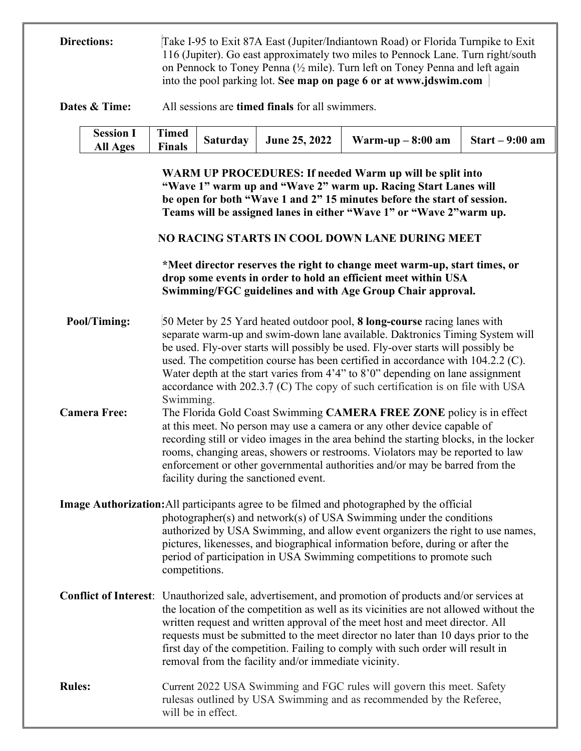**Directions:** Take I-95 to Exit 87A East (Jupiter/Indiantown Road) or Florida Turnpike to Exit 116 (Jupiter). Go east approximately two miles to Pennock Lane. Turn right/south on Pennock to Toney Penna (½ mile). Turn left on Toney Penna and left again into the pool parking lot. **See map on page 6 or at www.jdswim.com**

**Dates & Time:** All sessions are **timed finals** for all swimmers.

| Session I $\begin{array}{ c c c c c c } \hline \text{Session I} & \text{Timed} & \text{Saturday} & \text{June 25, 2022} \hline \end{array}$<br>$\overline{\text{Finals}}$<br><b>All Ages</b> |  | $\sim$ Warm-up – 8:00 am $\sim$ Start – 9:00 am |  |
|----------------------------------------------------------------------------------------------------------------------------------------------------------------------------------------------|--|-------------------------------------------------|--|
|----------------------------------------------------------------------------------------------------------------------------------------------------------------------------------------------|--|-------------------------------------------------|--|

**WARM UP PROCEDURES: If needed Warm up will be split into "Wave 1" warm up and "Wave 2" warm up. Racing Start Lanes will be open for both "Wave 1 and 2" 15 minutes before the start of session. Teams will be assigned lanes in either "Wave 1" or "Wave 2"warm up.**

#### **NO RACING STARTS IN COOL DOWN LANE DURING MEET**

**\*Meet director reserves the right to change meet warm-up, start times, or drop some events in order to hold an efficient meet within USA Swimming/FGC guidelines and with Age Group Chair approval.**

**Pool/Timing:** 50 Meter by 25 Yard heated outdoor pool, **8 long-course** racing lanes with separate warm-up and swim-down lane available. Daktronics Timing System will be used. Fly-over starts will possibly be used. Fly-over starts will possibly be used. The competition course has been certified in accordance with 104.2.2 (C). Water depth at the start varies from 4'4" to 8'0" depending on lane assignment accordance with 202.3.7 (C) The copy of such certification is on file with USA Swimming. **Camera Free:** The Florida Gold Coast Swimming **CAMERA FREE ZONE** policy is in effect at this meet. No person may use a camera or any other device capable of recording still or video images in the area behind the starting blocks, in the locker

rooms, changing areas, showers or restrooms. Violators may be reported to law enforcement or other governmental authorities and/or may be barred from the facility during the sanctioned event.

**Image Authorization:**All participants agree to be filmed and photographed by the official photographer(s) and network(s) of USA Swimming under the conditions authorized by USA Swimming, and allow event organizers the right to use names, pictures, likenesses, and biographical information before, during or after the period of participation in USA Swimming competitions to promote such competitions.

- **Conflict of Interest**: Unauthorized sale, advertisement, and promotion of products and/or services at the location of the competition as well as its vicinities are not allowed without the written request and written approval of the meet host and meet director. All requests must be submitted to the meet director no later than 10 days prior to the first day of the competition. Failing to comply with such order will result in removal from the facility and/or immediate vicinity.
- **Rules:** Current 2022 USA Swimming and FGC rules will govern this meet. Safety rulesas outlined by USA Swimming and as recommended by the Referee, will be in effect.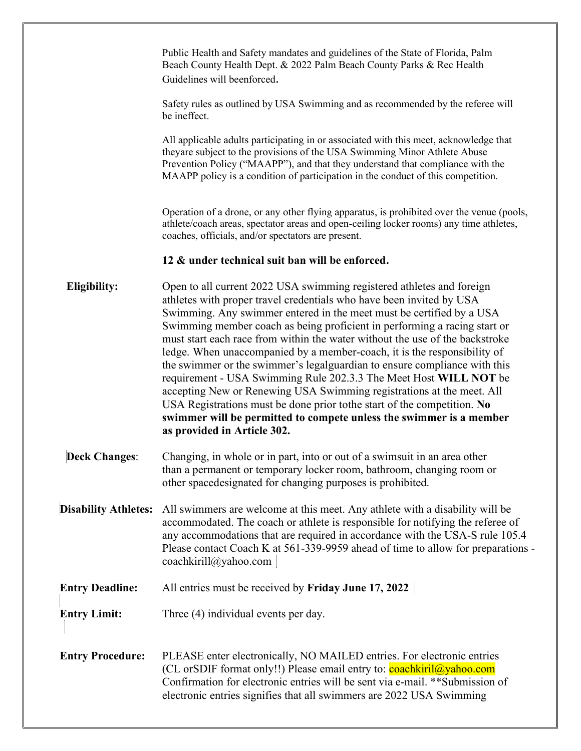Public Health and Safety mandates and guidelines of the State of Florida, Palm Beach County Health Dept. & 2022 Palm Beach County Parks & Rec Health Guidelines will beenforced.

Safety rules as outlined by USA Swimming and as recommended by the referee will be ineffect.

All applicable adults participating in or associated with this meet, acknowledge that theyare subject to the provisions of the USA Swimming Minor Athlete Abuse Prevention Policy ("MAAPP"), and that they understand that compliance with the MAAPP policy is a condition of participation in the conduct of this competition.

Operation of a drone, or any other flying apparatus, is prohibited over the venue (pools, athlete/coach areas, spectator areas and open-ceiling locker rooms) any time athletes, coaches, officials, and/or spectators are present.

#### **12 & under technical suit ban will be enforced.**

**Eligibility:** Open to all current 2022 USA swimming registered athletes and foreign athletes with proper travel credentials who have been invited by USA Swimming. Any swimmer entered in the meet must be certified by a USA Swimming member coach as being proficient in performing a racing start or must start each race from within the water without the use of the backstroke ledge. When unaccompanied by a member-coach, it is the responsibility of the swimmer or the swimmer's legalguardian to ensure compliance with this requirement - USA Swimming Rule 202.3.3 The Meet Host **WILL NOT** be accepting New or Renewing USA Swimming registrations at the meet. All USA Registrations must be done prior tothe start of the competition. **No swimmer will be permitted to compete unless the swimmer is a member as provided in Article 302.**

- **Deck Changes**: Changing, in whole or in part, into or out of a swimsuit in an area other than a permanent or temporary locker room, bathroom, changing room or other spacedesignated for changing purposes is prohibited.
- **Disability Athletes:** All swimmers are welcome at this meet. Any athlete with a disability will be accommodated. The coach or athlete is responsible for notifying the referee of any accommodations that are required in accordance with the USA-S rule 105.4 Please contact Coach K at 561-339-9959 ahead of time to allow for preparations [coachkirill@yahoo.com](mailto:coachkirill@yahoo.com)
- **Entry Deadline:** All entries must be received by **Friday June 17, 2022**
- **Entry Limit:** Three (4) individual events per day.

**Entry Procedure:** PLEASE enter electronically, NO MAILED entries. For electronic entries (CL or SDIF format only!!) Please email entry to:  $\overline{coachkiril}$   $\omega$ yahoo.com Confirmation for electronic entries will be sent via e-mail. \*\*Submission of electronic entries signifies that all swimmers are 2022 USA Swimming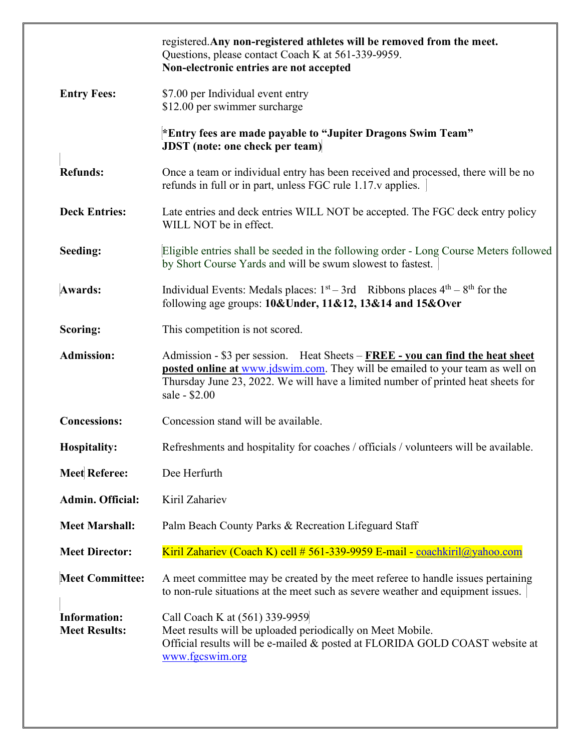|                                             | registered. Any non-registered athletes will be removed from the meet.<br>Questions, please contact Coach K at 561-339-9959.<br>Non-electronic entries are not accepted                                                                                                    |
|---------------------------------------------|----------------------------------------------------------------------------------------------------------------------------------------------------------------------------------------------------------------------------------------------------------------------------|
| <b>Entry Fees:</b>                          | \$7.00 per Individual event entry<br>\$12.00 per swimmer surcharge                                                                                                                                                                                                         |
|                                             | *Entry fees are made payable to "Jupiter Dragons Swim Team"<br><b>JDST</b> (note: one check per team)                                                                                                                                                                      |
| <b>Refunds:</b>                             | Once a team or individual entry has been received and processed, there will be no<br>refunds in full or in part, unless FGC rule 1.17.v applies.                                                                                                                           |
| <b>Deck Entries:</b>                        | Late entries and deck entries WILL NOT be accepted. The FGC deck entry policy<br>WILL NOT be in effect.                                                                                                                                                                    |
| Seeding:                                    | Eligible entries shall be seeded in the following order - Long Course Meters followed<br>by Short Course Yards and will be swum slowest to fastest.                                                                                                                        |
| <b>Awards:</b>                              | Individual Events: Medals places: $1st - 3rd$ Ribbons places $4th - 8th$ for the<br>following age groups: $10& \text{Under}, 11&12, 13&14$ and $15& \text{Over}$                                                                                                           |
| Scoring:                                    | This competition is not scored.                                                                                                                                                                                                                                            |
| <b>Admission:</b>                           | Admission - \$3 per session. Heat Sheets - FREE - you can find the heat sheet<br><b>posted online at www.jdswim.com.</b> They will be emailed to your team as well on<br>Thursday June 23, 2022. We will have a limited number of printed heat sheets for<br>sale - \$2.00 |
| <b>Concessions:</b>                         | Concession stand will be available.                                                                                                                                                                                                                                        |
| <b>Hospitality:</b>                         | Refreshments and hospitality for coaches / officials / volunteers will be available.                                                                                                                                                                                       |
| <b>Meet Referee:</b>                        | Dee Herfurth                                                                                                                                                                                                                                                               |
| <b>Admin. Official:</b>                     | Kiril Zahariev                                                                                                                                                                                                                                                             |
| <b>Meet Marshall:</b>                       | Palm Beach County Parks & Recreation Lifeguard Staff                                                                                                                                                                                                                       |
| <b>Meet Director:</b>                       | Kiril Zahariev (Coach K) cell # 561-339-9959 E-mail - coachkiril@yahoo.com                                                                                                                                                                                                 |
| <b>Meet Committee:</b>                      | A meet committee may be created by the meet referee to handle issues pertaining<br>to non-rule situations at the meet such as severe weather and equipment issues.                                                                                                         |
| <b>Information:</b><br><b>Meet Results:</b> | Call Coach K at (561) 339-9959<br>Meet results will be uploaded periodically on Meet Mobile.<br>Official results will be e-mailed & posted at FLORIDA GOLD COAST website at<br>www.fgcswim.org                                                                             |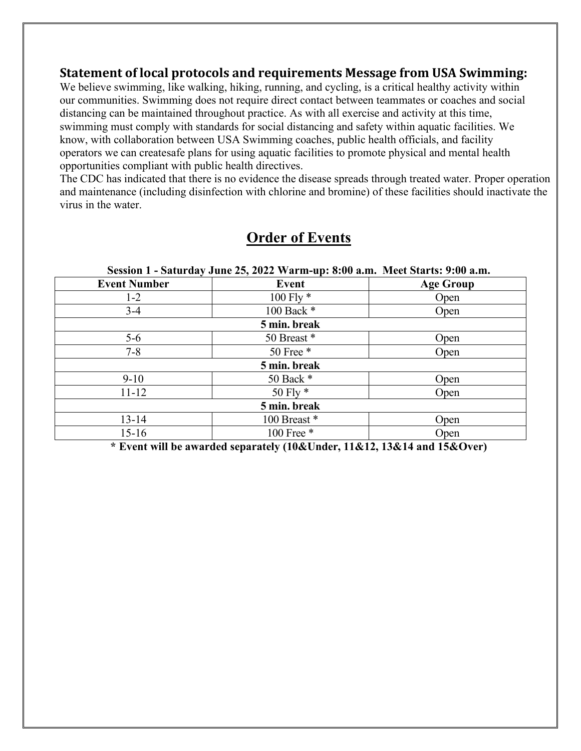#### **Statement of local protocols and requirements Message from USA Swimming:**

We believe swimming, like walking, hiking, running, and cycling, is a critical healthy activity within our communities. Swimming does not require direct contact between teammates or coaches and social distancing can be maintained throughout practice. As with all exercise and activity at this time, swimming must comply with standards for social distancing and safety within aquatic facilities. We know, with collaboration between USA Swimming coaches, public health officials, and facility operators we can createsafe plans for using aquatic facilities to promote physical and mental health opportunities compliant with public health directives.

The CDC has indicated that there is no evidence the disease spreads through treated water. Proper operation and maintenance (including disinfection with chlorine and bromine) of these facilities should inactivate the virus in the water.

| Session 1 - Saturday June 25, 2022 Warm-up: 8:00 a.m. Meet Starts: 9:00 a.m. |             |                  |  |  |
|------------------------------------------------------------------------------|-------------|------------------|--|--|
| <b>Event Number</b>                                                          | Event       | <b>Age Group</b> |  |  |
| $1 - 2$                                                                      | 100 Fly $*$ | Open             |  |  |
| $3-4$                                                                        | 100 Back *  | Open             |  |  |
| 5 min. break                                                                 |             |                  |  |  |
| $5-6$                                                                        | 50 Breast * | Open             |  |  |
| $7 - 8$                                                                      | 50 Free $*$ | Open             |  |  |
| 5 min. break                                                                 |             |                  |  |  |
| $9 - 10$                                                                     | 50 Back *   | Open             |  |  |
| $11 - 12$                                                                    | 50 Fly $*$  | Open             |  |  |
| 5 min. break                                                                 |             |                  |  |  |
| $13 - 14$                                                                    | 100 Breast* | Open             |  |  |
| $15 - 16$                                                                    | 100 Free *  | Open             |  |  |

### **Order of Events**

**\* Event will be awarded separately (10&Under, 11&12, 13&14 and 15&Over)**